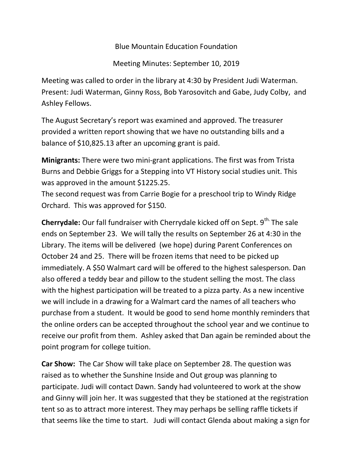Blue Mountain Education Foundation

Meeting Minutes: September 10, 2019

Meeting was called to order in the library at 4:30 by President Judi Waterman. Present: Judi Waterman, Ginny Ross, Bob Yarosovitch and Gabe, Judy Colby, and Ashley Fellows.

The August Secretary's report was examined and approved. The treasurer provided a written report showing that we have no outstanding bills and a balance of \$10,825.13 after an upcoming grant is paid.

Minigrants: There were two mini-grant applications. The first was from Trista Burns and Debbie Griggs for a Stepping into VT History social studies unit. This was approved in the amount \$1225.25.

The second request was from Carrie Bogie for a preschool trip to Windy Ridge Orchard. This was approved for \$150.

**Cherrydale:** Our fall fundraiser with Cherrydale kicked off on Sept.  $9<sup>th</sup>$ . The sale ends on September 23. We will tally the results on September 26 at 4:30 in the Library. The items will be delivered (we hope) during Parent Conferences on October 24 and 25. There will be frozen items that need to be picked up immediately. A \$50 Walmart card will be offered to the highest salesperson. Dan also offered a teddy bear and pillow to the student selling the most. The class with the highest participation will be treated to a pizza party. As a new incentive we will include in a drawing for a Walmart card the names of all teachers who purchase from a student. It would be good to send home monthly reminders that the online orders can be accepted throughout the school year and we continue to receive our profit from them. Ashley asked that Dan again be reminded about the point program for college tuition.

Car Show: The Car Show will take place on September 28. The question was raised as to whether the Sunshine Inside and Out group was planning to participate. Judi will contact Dawn. Sandy had volunteered to work at the show and Ginny will join her. It was suggested that they be stationed at the registration tent so as to attract more interest. They may perhaps be selling raffle tickets if that seems like the time to start. Judi will contact Glenda about making a sign for